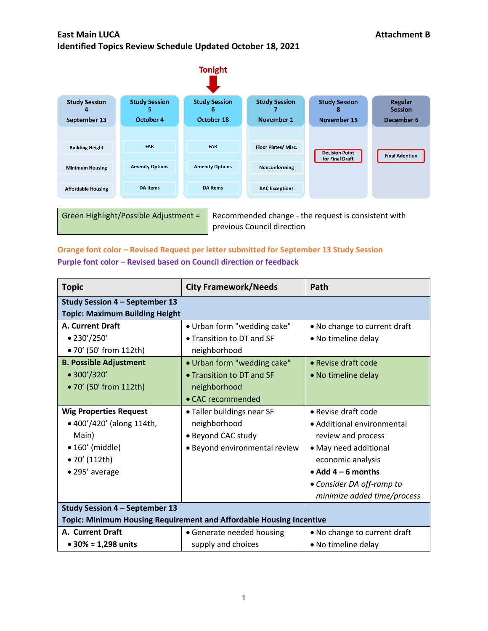

previous Council direction

### **Orange font color – Revised Request per letter submitted for September 13 Study Session Purple font color – Revised based on Council direction or feedback**

| <b>Topic</b>                                                        | <b>City Framework/Needs</b>   | Path                         |
|---------------------------------------------------------------------|-------------------------------|------------------------------|
| Study Session 4 - September 13                                      |                               |                              |
| <b>Topic: Maximum Building Height</b>                               |                               |                              |
| <b>A. Current Draft</b>                                             | • Urban form "wedding cake"   | • No change to current draft |
| • 230'/250'                                                         | • Transition to DT and SF     | • No timeline delay          |
| • 70' (50' from 112th)                                              | neighborhood                  |                              |
| <b>B. Possible Adjustment</b>                                       | • Urban form "wedding cake"   | • Revise draft code          |
| • 300'/320'                                                         | • Transition to DT and SF     | • No timeline delay          |
| • 70' (50' from 112th)                                              | neighborhood                  |                              |
|                                                                     | • CAC recommended             |                              |
| <b>Wig Properties Request</b>                                       | • Taller buildings near SF    | $\bullet$ Revise draft code  |
| • 400'/420' (along 114th,                                           | neighborhood                  | • Additional environmental   |
| Main)                                                               | • Beyond CAC study            | review and process           |
| $\bullet$ 160' (middle)                                             | • Beyond environmental review | • May need additional        |
| • 70' (112th)                                                       |                               | economic analysis            |
| • 295' average                                                      |                               | $\bullet$ Add 4 – 6 months   |
|                                                                     |                               | • Consider DA off-ramp to    |
|                                                                     |                               | minimize added time/process  |
| <b>Study Session 4 - September 13</b>                               |                               |                              |
| Topic: Minimum Housing Requirement and Affordable Housing Incentive |                               |                              |
| A. Current Draft                                                    | • Generate needed housing     | • No change to current draft |
| • 30% $\approx$ 1,298 units                                         | supply and choices            | • No timeline delay          |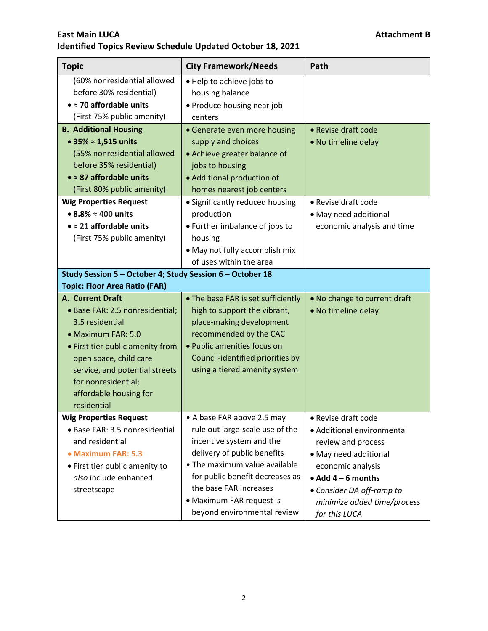| <b>Topic</b>                                                                                                                                                                                                                                                                                                                               | <b>City Framework/Needs</b>                                                                                                                                                                                                                                                                      | Path                                                                                                                                                                                                                             |
|--------------------------------------------------------------------------------------------------------------------------------------------------------------------------------------------------------------------------------------------------------------------------------------------------------------------------------------------|--------------------------------------------------------------------------------------------------------------------------------------------------------------------------------------------------------------------------------------------------------------------------------------------------|----------------------------------------------------------------------------------------------------------------------------------------------------------------------------------------------------------------------------------|
| (60% nonresidential allowed<br>before 30% residential)<br>$\bullet$ = 70 affordable units<br>(First 75% public amenity)                                                                                                                                                                                                                    | • Help to achieve jobs to<br>housing balance<br>• Produce housing near job<br>centers                                                                                                                                                                                                            |                                                                                                                                                                                                                                  |
| <b>B. Additional Housing</b><br>• 35% $\approx$ 1,515 units<br>(55% nonresidential allowed<br>before 35% residential)<br>$\bullet \approx 87$ affordable units<br>(First 80% public amenity)<br><b>Wig Properties Request</b><br>$\bullet$ 8.8% $\approx$ 400 units<br>$\bullet \approx 21$ affordable units<br>(First 75% public amenity) | • Generate even more housing<br>supply and choices<br>• Achieve greater balance of<br>jobs to housing<br>• Additional production of<br>homes nearest job centers<br>• Significantly reduced housing<br>production<br>• Further imbalance of jobs to<br>housing<br>• May not fully accomplish mix | • Revise draft code<br>• No timeline delay<br>• Revise draft code<br>• May need additional<br>economic analysis and time                                                                                                         |
| Study Session 5 - October 4; Study Session 6 - October 18<br><b>Topic: Floor Area Ratio (FAR)</b><br>A. Current Draft                                                                                                                                                                                                                      | of uses within the area                                                                                                                                                                                                                                                                          |                                                                                                                                                                                                                                  |
| • Base FAR: 2.5 nonresidential;<br>3.5 residential<br>· Maximum FAR: 5.0<br>• First tier public amenity from<br>open space, child care<br>service, and potential streets<br>for nonresidential;<br>affordable housing for<br>residential                                                                                                   | • The base FAR is set sufficiently<br>high to support the vibrant,<br>place-making development<br>recommended by the CAC<br>• Public amenities focus on<br>Council-identified priorities by<br>using a tiered amenity system                                                                     | • No change to current draft<br>• No timeline delay                                                                                                                                                                              |
| <b>Wig Properties Request</b><br>· Base FAR: 3.5 nonresidential<br>and residential<br>• Maximum FAR: 5.3<br>• First tier public amenity to<br>also include enhanced<br>streetscape                                                                                                                                                         | • A base FAR above 2.5 may<br>rule out large-scale use of the<br>incentive system and the<br>delivery of public benefits<br>• The maximum value available<br>for public benefit decreases as<br>the base FAR increases<br>• Maximum FAR request is<br>beyond environmental review                | • Revise draft code<br>• Additional environmental<br>review and process<br>• May need additional<br>economic analysis<br>$\bullet$ Add 4 - 6 months<br>• Consider DA off-ramp to<br>minimize added time/process<br>for this LUCA |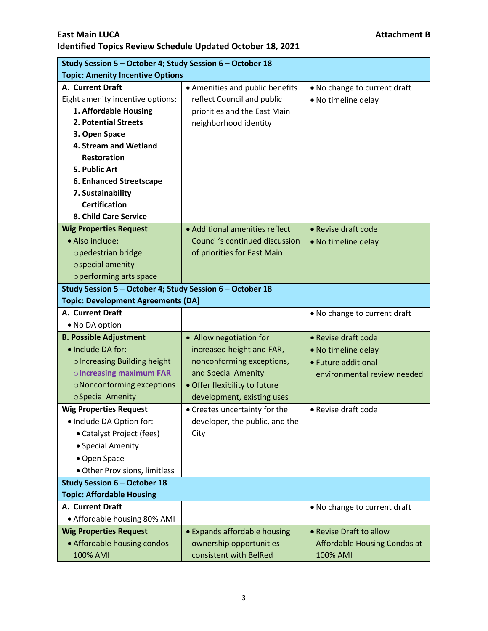|                                                           | Study Session 5 - October 4; Study Session 6 - October 18 |                              |  |
|-----------------------------------------------------------|-----------------------------------------------------------|------------------------------|--|
| <b>Topic: Amenity Incentive Options</b>                   |                                                           |                              |  |
| A. Current Draft                                          | • Amenities and public benefits                           | • No change to current draft |  |
| Eight amenity incentive options:                          | reflect Council and public                                | • No timeline delay          |  |
| 1. Affordable Housing                                     | priorities and the East Main                              |                              |  |
| 2. Potential Streets                                      | neighborhood identity                                     |                              |  |
| 3. Open Space                                             |                                                           |                              |  |
| 4. Stream and Wetland                                     |                                                           |                              |  |
| <b>Restoration</b>                                        |                                                           |                              |  |
| 5. Public Art                                             |                                                           |                              |  |
| 6. Enhanced Streetscape                                   |                                                           |                              |  |
| 7. Sustainability                                         |                                                           |                              |  |
| <b>Certification</b>                                      |                                                           |                              |  |
| 8. Child Care Service                                     |                                                           |                              |  |
| <b>Wig Properties Request</b>                             | • Additional amenities reflect                            | • Revise draft code          |  |
| · Also include:                                           | Council's continued discussion                            | • No timeline delay          |  |
| opedestrian bridge                                        | of priorities for East Main                               |                              |  |
| ospecial amenity                                          |                                                           |                              |  |
| operforming arts space                                    |                                                           |                              |  |
| Study Session 5 - October 4; Study Session 6 - October 18 |                                                           |                              |  |
| <b>Topic: Development Agreements (DA)</b>                 |                                                           |                              |  |
| A. Current Draft                                          |                                                           | • No change to current draft |  |
| • No DA option                                            |                                                           |                              |  |
| <b>B. Possible Adjustment</b>                             | • Allow negotiation for                                   | • Revise draft code          |  |
| · Include DA for:                                         | increased height and FAR,                                 | • No timeline delay          |  |
| o Increasing Building height                              | nonconforming exceptions,                                 | • Future additional          |  |
| o Increasing maximum FAR                                  | and Special Amenity                                       | environmental review needed  |  |
| o Nonconforming exceptions                                | · Offer flexibility to future                             |                              |  |
| ○ Special Amenity                                         | development, existing uses                                |                              |  |
| <b>Wig Properties Request</b>                             | • Creates uncertainty for the                             | • Revise draft code          |  |
| • Include DA Option for:                                  | developer, the public, and the                            |                              |  |
| • Catalyst Project (fees)                                 | City                                                      |                              |  |
| • Special Amenity                                         |                                                           |                              |  |
| • Open Space                                              |                                                           |                              |  |
| · Other Provisions, limitless                             |                                                           |                              |  |
| <b>Study Session 6 - October 18</b>                       |                                                           |                              |  |
| <b>Topic: Affordable Housing</b>                          |                                                           |                              |  |
| A. Current Draft                                          |                                                           | . No change to current draft |  |
| • Affordable housing 80% AMI                              |                                                           |                              |  |
| <b>Wig Properties Request</b>                             | • Expands affordable housing                              | • Revise Draft to allow      |  |
| • Affordable housing condos                               | ownership opportunities                                   | Affordable Housing Condos at |  |
| 100% AMI                                                  | consistent with BelRed                                    | 100% AMI                     |  |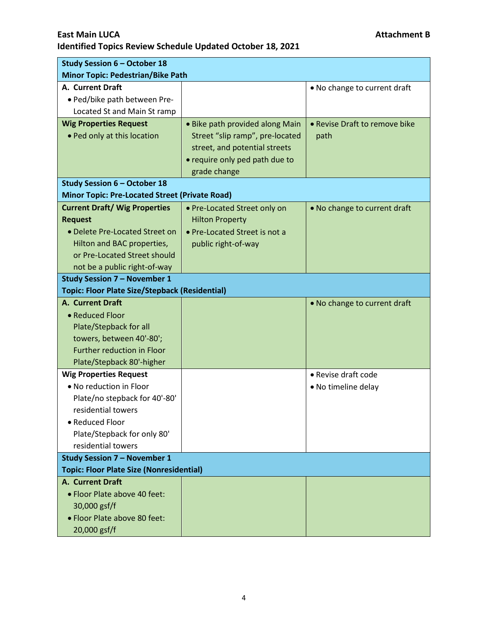| <b>Study Session 6 - October 18</b>                   |                                 |                               |
|-------------------------------------------------------|---------------------------------|-------------------------------|
| <b>Minor Topic: Pedestrian/Bike Path</b>              |                                 |                               |
| A. Current Draft                                      |                                 | • No change to current draft  |
| • Ped/bike path between Pre-                          |                                 |                               |
| Located St and Main St ramp                           |                                 |                               |
| <b>Wig Properties Request</b>                         | • Bike path provided along Main | • Revise Draft to remove bike |
| • Ped only at this location                           | Street "slip ramp", pre-located | path                          |
|                                                       | street, and potential streets   |                               |
|                                                       | • require only ped path due to  |                               |
|                                                       | grade change                    |                               |
| <b>Study Session 6 - October 18</b>                   |                                 |                               |
| <b>Minor Topic: Pre-Located Street (Private Road)</b> |                                 |                               |
| <b>Current Draft/ Wig Properties</b>                  | • Pre-Located Street only on    | • No change to current draft  |
| <b>Request</b>                                        | <b>Hilton Property</b>          |                               |
| • Delete Pre-Located Street on                        | • Pre-Located Street is not a   |                               |
| Hilton and BAC properties,                            | public right-of-way             |                               |
| or Pre-Located Street should                          |                                 |                               |
| not be a public right-of-way                          |                                 |                               |
| <b>Study Session 7 - November 1</b>                   |                                 |                               |
| <b>Topic: Floor Plate Size/Stepback (Residential)</b> |                                 |                               |
| A. Current Draft                                      |                                 | . No change to current draft  |
| • Reduced Floor                                       |                                 |                               |
| Plate/Stepback for all<br>towers, between 40'-80';    |                                 |                               |
| <b>Further reduction in Floor</b>                     |                                 |                               |
| Plate/Stepback 80'-higher                             |                                 |                               |
| <b>Wig Properties Request</b>                         |                                 | • Revise draft code           |
| . No reduction in Floor                               |                                 | • No timeline delay           |
| Plate/no stepback for 40'-80'                         |                                 |                               |
| residential towers                                    |                                 |                               |
| • Reduced Floor                                       |                                 |                               |
| Plate/Stepback for only 80'                           |                                 |                               |
| residential towers                                    |                                 |                               |
| <b>Study Session 7 - November 1</b>                   |                                 |                               |
| <b>Topic: Floor Plate Size (Nonresidential)</b>       |                                 |                               |
| A. Current Draft                                      |                                 |                               |
| • Floor Plate above 40 feet:                          |                                 |                               |
| 30,000 gsf/f                                          |                                 |                               |
| • Floor Plate above 80 feet:                          |                                 |                               |
| 20,000 gsf/f                                          |                                 |                               |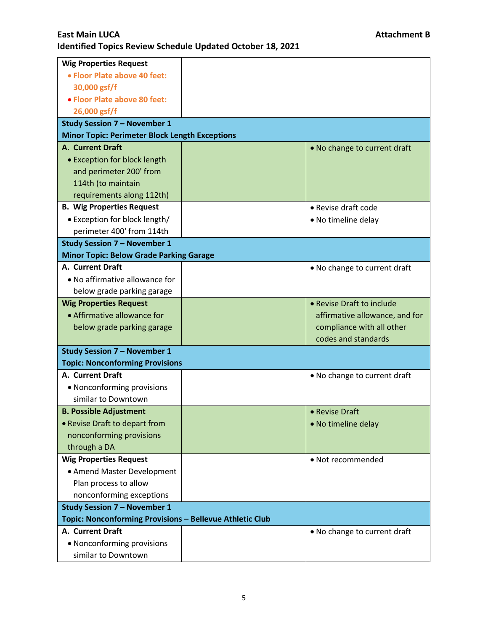| <b>Wig Properties Request</b>                            |  |                                |
|----------------------------------------------------------|--|--------------------------------|
| • Floor Plate above 40 feet:                             |  |                                |
| 30,000 gsf/f                                             |  |                                |
| • Floor Plate above 80 feet:                             |  |                                |
| 26,000 gsf/f                                             |  |                                |
| <b>Study Session 7 - November 1</b>                      |  |                                |
| <b>Minor Topic: Perimeter Block Length Exceptions</b>    |  |                                |
| <b>A. Current Draft</b>                                  |  | . No change to current draft   |
| • Exception for block length                             |  |                                |
| and perimeter 200' from                                  |  |                                |
| 114th (to maintain                                       |  |                                |
| requirements along 112th)                                |  |                                |
| <b>B. Wig Properties Request</b>                         |  | • Revise draft code            |
| • Exception for block length/                            |  | • No timeline delay            |
| perimeter 400' from 114th                                |  |                                |
| <b>Study Session 7 - November 1</b>                      |  |                                |
| <b>Minor Topic: Below Grade Parking Garage</b>           |  |                                |
| A. Current Draft                                         |  | • No change to current draft   |
| • No affirmative allowance for                           |  |                                |
| below grade parking garage                               |  |                                |
| <b>Wig Properties Request</b>                            |  | • Revise Draft to include      |
| • Affirmative allowance for                              |  | affirmative allowance, and for |
| below grade parking garage                               |  | compliance with all other      |
|                                                          |  | codes and standards            |
| <b>Study Session 7 - November 1</b>                      |  |                                |
| <b>Topic: Nonconforming Provisions</b>                   |  |                                |
| A. Current Draft                                         |  | • No change to current draft   |
| • Nonconforming provisions                               |  |                                |
| similar to Downtown                                      |  |                                |
| <b>B. Possible Adjustment</b>                            |  | • Revise Draft                 |
| • Revise Draft to depart from                            |  | • No timeline delay            |
| nonconforming provisions                                 |  |                                |
| through a DA                                             |  |                                |
| <b>Wig Properties Request</b>                            |  | • Not recommended              |
| • Amend Master Development                               |  |                                |
| Plan process to allow                                    |  |                                |
| nonconforming exceptions                                 |  |                                |
| <b>Study Session 7 - November 1</b>                      |  |                                |
| Topic: Nonconforming Provisions - Bellevue Athletic Club |  |                                |
| A. Current Draft                                         |  | • No change to current draft   |
| • Nonconforming provisions                               |  |                                |
| similar to Downtown                                      |  |                                |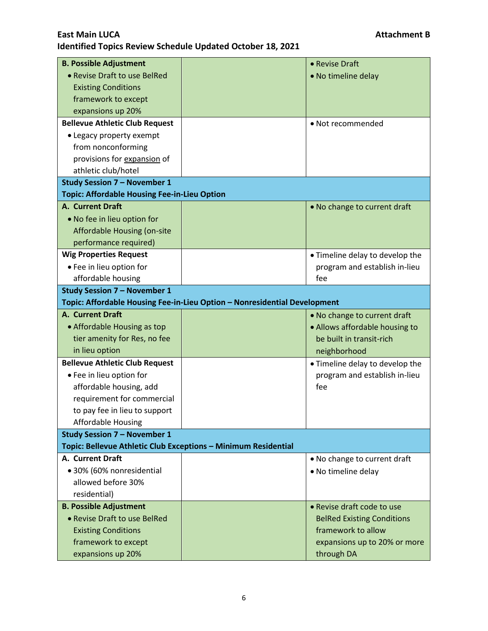| <b>B. Possible Adjustment</b>                                  |                                                                           | • Revise Draft                    |
|----------------------------------------------------------------|---------------------------------------------------------------------------|-----------------------------------|
| • Revise Draft to use BelRed                                   |                                                                           | • No timeline delay               |
| <b>Existing Conditions</b>                                     |                                                                           |                                   |
| framework to except                                            |                                                                           |                                   |
| expansions up 20%                                              |                                                                           |                                   |
| <b>Bellevue Athletic Club Request</b>                          |                                                                           | • Not recommended                 |
| • Legacy property exempt                                       |                                                                           |                                   |
| from nonconforming                                             |                                                                           |                                   |
| provisions for expansion of                                    |                                                                           |                                   |
| athletic club/hotel                                            |                                                                           |                                   |
| <b>Study Session 7 - November 1</b>                            |                                                                           |                                   |
| <b>Topic: Affordable Housing Fee-in-Lieu Option</b>            |                                                                           |                                   |
| A. Current Draft                                               |                                                                           | . No change to current draft      |
| • No fee in lieu option for                                    |                                                                           |                                   |
| Affordable Housing (on-site                                    |                                                                           |                                   |
| performance required)                                          |                                                                           |                                   |
| <b>Wig Properties Request</b>                                  |                                                                           | • Timeline delay to develop the   |
| • Fee in lieu option for                                       |                                                                           | program and establish in-lieu     |
| affordable housing                                             |                                                                           | fee                               |
| <b>Study Session 7 - November 1</b>                            |                                                                           |                                   |
|                                                                | Topic: Affordable Housing Fee-in-Lieu Option - Nonresidential Development |                                   |
| A. Current Draft                                               |                                                                           | . No change to current draft      |
| • Affordable Housing as top                                    |                                                                           | • Allows affordable housing to    |
| tier amenity for Res, no fee                                   |                                                                           | be built in transit-rich          |
| in lieu option                                                 |                                                                           | neighborhood                      |
| <b>Bellevue Athletic Club Request</b>                          |                                                                           | • Timeline delay to develop the   |
| • Fee in lieu option for                                       |                                                                           | program and establish in-lieu     |
| affordable housing, add                                        |                                                                           | fee                               |
| requirement for commercial                                     |                                                                           |                                   |
| to pay fee in lieu to support                                  |                                                                           |                                   |
| <b>Affordable Housing</b>                                      |                                                                           |                                   |
| <b>Study Session 7 - November 1</b>                            |                                                                           |                                   |
| Topic: Bellevue Athletic Club Exceptions - Minimum Residential |                                                                           |                                   |
| A. Current Draft                                               |                                                                           | • No change to current draft      |
| • 30% (60% nonresidential                                      |                                                                           | • No timeline delay               |
| allowed before 30%                                             |                                                                           |                                   |
| residential)                                                   |                                                                           |                                   |
| <b>B. Possible Adjustment</b>                                  |                                                                           | • Revise draft code to use        |
| • Revise Draft to use BelRed                                   |                                                                           | <b>BelRed Existing Conditions</b> |
| <b>Existing Conditions</b>                                     |                                                                           | framework to allow                |
| framework to except                                            |                                                                           | expansions up to 20% or more      |
| expansions up 20%                                              |                                                                           | through DA                        |